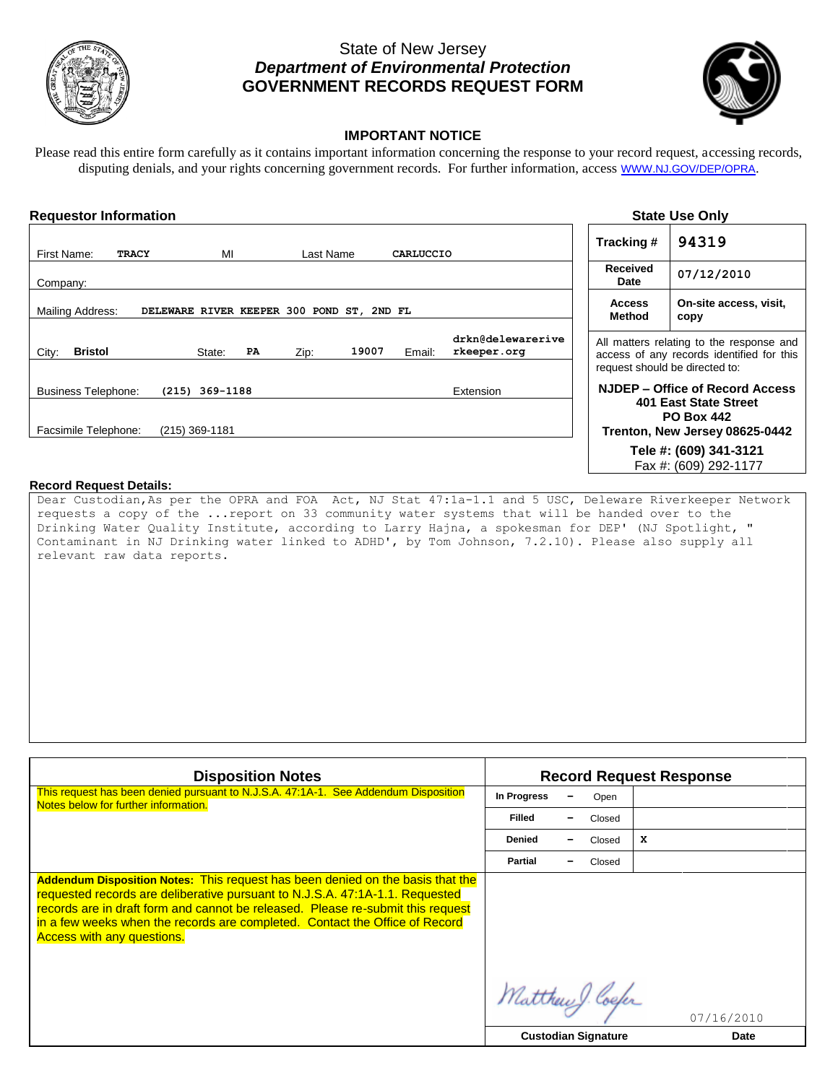

# State of New Jersey *Department of Environmental Protection* **GOVERNMENT RECORDS REQUEST FORM**



### **IMPORTANT NOTICE**

Please read this entire form carefully as it contains important information concerning the response to your record request, accessing records, disputing denials, and your rights concerning government records. For further information, access [WWW.NJ.GOV/DEP/OPRA](http://www.nj.gov/dep/opra).

| <b>Requestor Information</b>                                                                           |                         | <b>State Use Only</b>                                                                                                   |  |
|--------------------------------------------------------------------------------------------------------|-------------------------|-------------------------------------------------------------------------------------------------------------------------|--|
| First Name:<br>MI<br><b>TRACY</b><br>Last Name<br>CARLUCCIO                                            | Tracking #              | 94319                                                                                                                   |  |
| Company:                                                                                               | <b>Received</b><br>Date | 07/12/2010                                                                                                              |  |
| <b>Mailing Address:</b><br>DELEWARE RIVER KEEPER 300 POND ST, 2ND FL                                   | <b>Access</b><br>Method | On-site access, visit,<br>copy                                                                                          |  |
| drkn@delewarerive<br><b>Bristol</b><br>City:<br>Zip:<br>Email:<br>State:<br>PA<br>19007<br>rkeeper.org |                         | All matters relating to the response and<br>access of any records identified for this<br>request should be directed to: |  |
| $(215)$ 369-1188<br><b>Business Telephone:</b><br>Extension                                            |                         | NJDEP – Office of Record Access<br>401 East State Street                                                                |  |
| Facsimile Telephone:<br>$(215)$ 369-1181                                                               |                         | <b>PO Box 442</b><br>Trenton, New Jersey 08625-0442                                                                     |  |
|                                                                                                        |                         | Tele #: (609) 341-3121<br>Fax #: (609) 292-1177                                                                         |  |

#### **Record Request Details:**

Dear Custodian,As per the OPRA and FOA Act, NJ Stat 47:1a-1.1 and 5 USC, Deleware Riverkeeper Network requests a copy of the ...report on 33 community water systems that will be handed over to the Drinking Water Quality Institute, according to Larry Hajna, a spokesman for DEP' (NJ Spotlight, " Contaminant in NJ Drinking water linked to ADHD', by Tom Johnson, 7.2.10). Please also supply all relevant raw data reports.

| <b>Disposition Notes</b>                                                                                                                                                                                                                                                                                                                                              | <b>Record Request Response</b> |            |  |
|-----------------------------------------------------------------------------------------------------------------------------------------------------------------------------------------------------------------------------------------------------------------------------------------------------------------------------------------------------------------------|--------------------------------|------------|--|
| This request has been denied pursuant to N.J.S.A. 47:1A-1. See Addendum Disposition<br>Notes below for further information.                                                                                                                                                                                                                                           | In Progress<br>Open            |            |  |
|                                                                                                                                                                                                                                                                                                                                                                       | <b>Filled</b><br>Closed        |            |  |
|                                                                                                                                                                                                                                                                                                                                                                       | <b>Denied</b><br>Closed        | x          |  |
|                                                                                                                                                                                                                                                                                                                                                                       | <b>Partial</b><br>Closed       |            |  |
| Addendum Disposition Notes: This request has been denied on the basis that the<br>requested records are deliberative pursuant to N.J.S.A. 47:1A-1.1. Requested<br>records are in draft form and cannot be released. Please re-submit this request<br>in a few weeks when the records are completed. Contact the Office of Record<br><b>Access with any questions.</b> | Matthew J. Coefer              | 07/16/2010 |  |
|                                                                                                                                                                                                                                                                                                                                                                       | <b>Custodian Signature</b>     | Date       |  |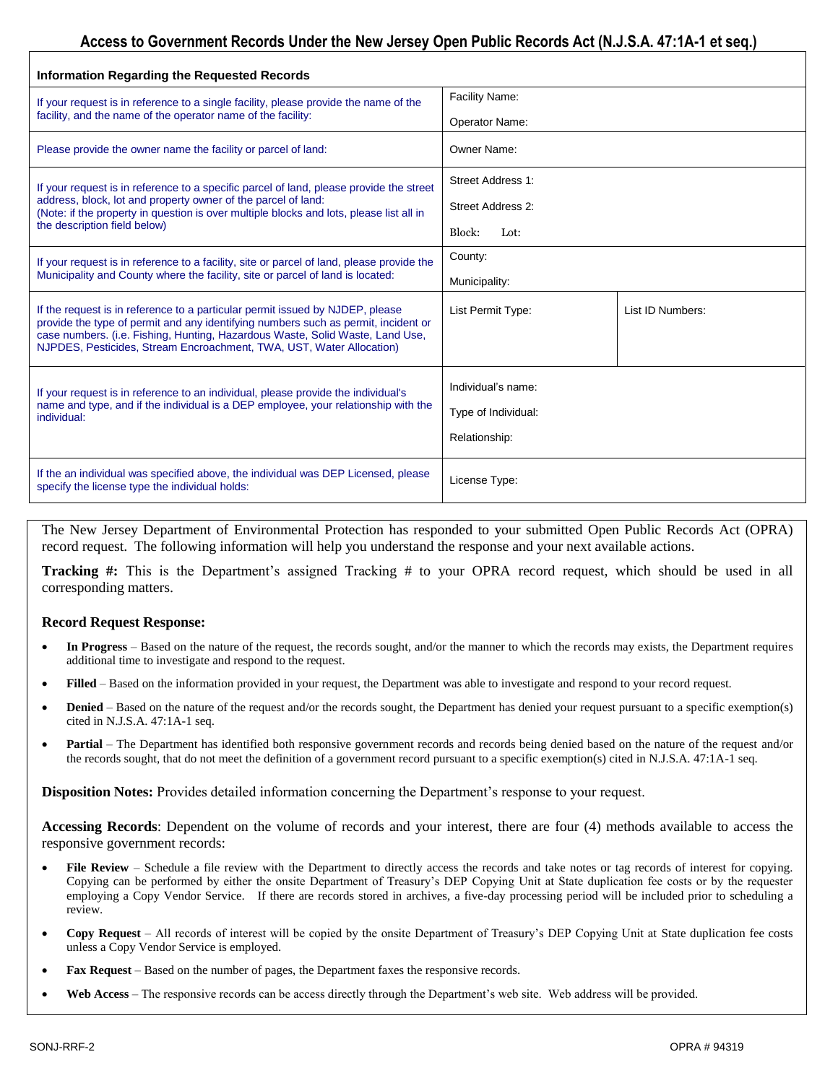| <b>Information Regarding the Requested Records</b>                                                                                                                                                                                                                                                                           |                                  |                  |  |  |  |
|------------------------------------------------------------------------------------------------------------------------------------------------------------------------------------------------------------------------------------------------------------------------------------------------------------------------------|----------------------------------|------------------|--|--|--|
| If your request is in reference to a single facility, please provide the name of the<br>facility, and the name of the operator name of the facility:                                                                                                                                                                         | Facility Name:<br>Operator Name: |                  |  |  |  |
| Please provide the owner name the facility or parcel of land:                                                                                                                                                                                                                                                                | Owner Name:                      |                  |  |  |  |
| If your request is in reference to a specific parcel of land, please provide the street                                                                                                                                                                                                                                      | Street Address 1:                |                  |  |  |  |
| address, block, lot and property owner of the parcel of land:<br>(Note: if the property in question is over multiple blocks and lots, please list all in<br>the description field below)                                                                                                                                     | Street Address 2:                |                  |  |  |  |
|                                                                                                                                                                                                                                                                                                                              | Block:<br>Lot:                   |                  |  |  |  |
| If your request is in reference to a facility, site or parcel of land, please provide the<br>Municipality and County where the facility, site or parcel of land is located:                                                                                                                                                  | County:                          |                  |  |  |  |
|                                                                                                                                                                                                                                                                                                                              | Municipality:                    |                  |  |  |  |
| If the request is in reference to a particular permit issued by NJDEP, please<br>provide the type of permit and any identifying numbers such as permit, incident or<br>case numbers. (i.e. Fishing, Hunting, Hazardous Waste, Solid Waste, Land Use,<br>NJPDES, Pesticides, Stream Encroachment, TWA, UST, Water Allocation) | List Permit Type:                | List ID Numbers: |  |  |  |
| If your request is in reference to an individual, please provide the individual's                                                                                                                                                                                                                                            | Individual's name:               |                  |  |  |  |
| name and type, and if the individual is a DEP employee, your relationship with the<br>individual:                                                                                                                                                                                                                            | Type of Individual:              |                  |  |  |  |
|                                                                                                                                                                                                                                                                                                                              | Relationship:                    |                  |  |  |  |
| If the an individual was specified above, the individual was DEP Licensed, please<br>specify the license type the individual holds:                                                                                                                                                                                          | License Type:                    |                  |  |  |  |

The New Jersey Department of Environmental Protection has responded to your submitted Open Public Records Act (OPRA) record request. The following information will help you understand the response and your next available actions.

**Tracking #:** This is the Department's assigned Tracking # to your OPRA record request, which should be used in all corresponding matters.

### **Record Request Response:**

- **In Progress**  Based on the nature of the request, the records sought, and/or the manner to which the records may exists, the Department requires additional time to investigate and respond to the request.
- **Filled** Based on the information provided in your request, the Department was able to investigate and respond to your record request.
- **Denied** Based on the nature of the request and/or the records sought, the Department has denied your request pursuant to a specific exemption(s) cited in N.J.S.A. 47:1A-1 seq.
- **Partial** The Department has identified both responsive government records and records being denied based on the nature of the request and/or the records sought, that do not meet the definition of a government record pursuant to a specific exemption(s) cited in N.J.S.A. 47:1A-1 seq.

**Disposition Notes:** Provides detailed information concerning the Department's response to your request.

**Accessing Records**: Dependent on the volume of records and your interest, there are four (4) methods available to access the responsive government records:

- File Review Schedule a file review with the Department to directly access the records and take notes or tag records of interest for copying. Copying can be performed by either the onsite Department of Treasury's DEP Copying Unit at State duplication fee costs or by the requester employing a Copy Vendor Service. If there are records stored in archives, a five-day processing period will be included prior to scheduling a review.
- **Copy Request** All records of interest will be copied by the onsite Department of Treasury's DEP Copying Unit at State duplication fee costs unless a Copy Vendor Service is employed.
- **Fax Request** Based on the number of pages, the Department faxes the responsive records.
- **Web Access** The responsive records can be access directly through the Department's web site. Web address will be provided.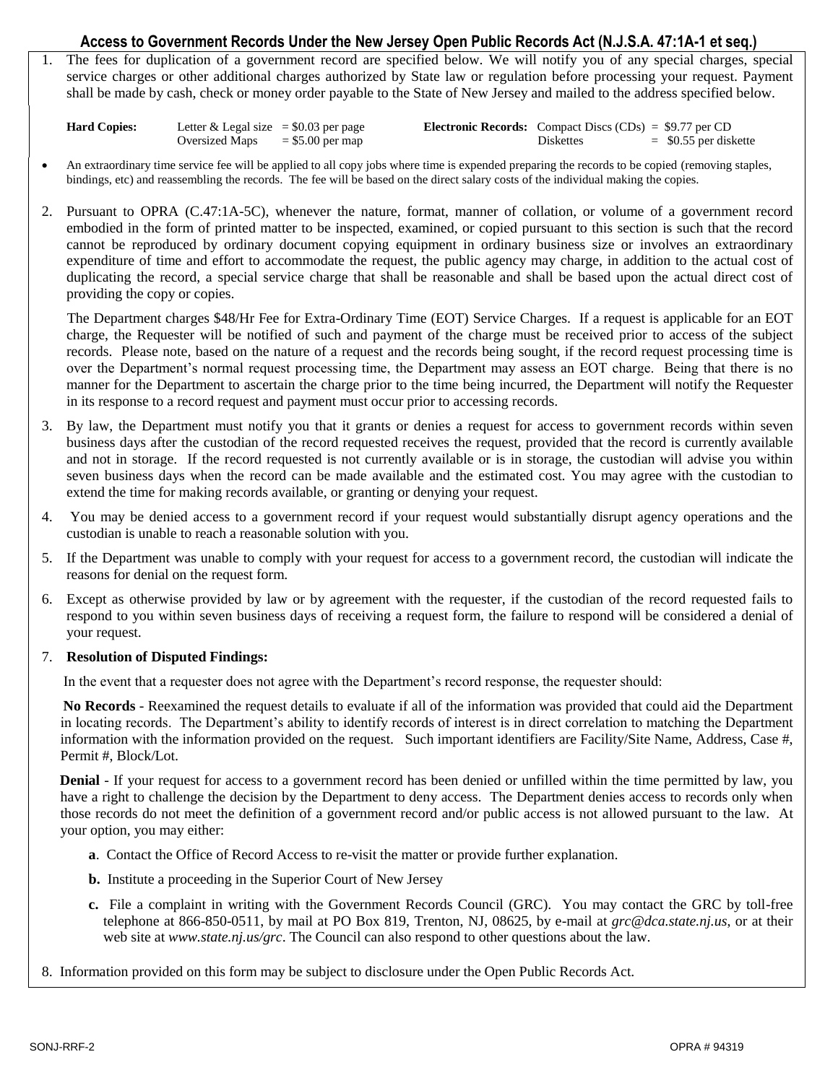## **Access to Government Records Under the New Jersey Open Public Records Act (N.J.S.A. 47:1A-1 et seq.)**

1. The fees for duplication of a government record are specified below. We will notify you of any special charges, special service charges or other additional charges authorized by State law or regulation before processing your request. Payment shall be made by cash, check or money order payable to the State of New Jersey and mailed to the address specified below.

| <b>Hard Copies:</b> | Letter & Legal size $=$ \$0.03 per page |  | <b>Electronic Records:</b> Compact Discs (CDs) = $$9.77$ per CD |                         |
|---------------------|-----------------------------------------|--|-----------------------------------------------------------------|-------------------------|
|                     | Oversized Maps $= $5.00$ per map        |  | <b>Diskettes</b>                                                | $=$ \$0.55 per diskette |

- An extraordinary time service fee will be applied to all copy jobs where time is expended preparing the records to be copied (removing staples, bindings, etc) and reassembling the records. The fee will be based on the direct salary costs of the individual making the copies.
- 2. Pursuant to OPRA (C.47:1A-5C), whenever the nature, format, manner of collation, or volume of a government record embodied in the form of printed matter to be inspected, examined, or copied pursuant to this section is such that the record cannot be reproduced by ordinary document copying equipment in ordinary business size or involves an extraordinary expenditure of time and effort to accommodate the request, the public agency may charge, in addition to the actual cost of duplicating the record, a special service charge that shall be reasonable and shall be based upon the actual direct cost of providing the copy or copies.

 The Department charges \$48/Hr Fee for Extra-Ordinary Time (EOT) Service Charges. If a request is applicable for an EOT charge, the Requester will be notified of such and payment of the charge must be received prior to access of the subject records. Please note, based on the nature of a request and the records being sought, if the record request processing time is over the Department's normal request processing time, the Department may assess an EOT charge. Being that there is no manner for the Department to ascertain the charge prior to the time being incurred, the Department will notify the Requester in its response to a record request and payment must occur prior to accessing records.

- 3. By law, the Department must notify you that it grants or denies a request for access to government records within seven business days after the custodian of the record requested receives the request, provided that the record is currently available and not in storage. If the record requested is not currently available or is in storage, the custodian will advise you within seven business days when the record can be made available and the estimated cost. You may agree with the custodian to extend the time for making records available, or granting or denying your request.
- 4. You may be denied access to a government record if your request would substantially disrupt agency operations and the custodian is unable to reach a reasonable solution with you.
- 5. If the Department was unable to comply with your request for access to a government record, the custodian will indicate the reasons for denial on the request form.
- 6. Except as otherwise provided by law or by agreement with the requester, if the custodian of the record requested fails to respond to you within seven business days of receiving a request form, the failure to respond will be considered a denial of your request.

### 7. **Resolution of Disputed Findings:**

In the event that a requester does not agree with the Department's record response, the requester should:

 **No Records** - Reexamined the request details to evaluate if all of the information was provided that could aid the Department in locating records. The Department's ability to identify records of interest is in direct correlation to matching the Department information with the information provided on the request. Such important identifiers are Facility/Site Name, Address, Case #, Permit #, Block/Lot.

 **Denial** - If your request for access to a government record has been denied or unfilled within the time permitted by law, you have a right to challenge the decision by the Department to deny access. The Department denies access to records only when those records do not meet the definition of a government record and/or public access is not allowed pursuant to the law. At your option, you may either:

- **a**. Contact the Office of Record Access to re-visit the matter or provide further explanation.
- **b.** Institute a proceeding in the Superior Court of New Jersey
- **c.** File a complaint in writing with the Government Records Council (GRC). You may contact the GRC by toll-free telephone at 866-850-0511, by mail at PO Box 819, Trenton, NJ, 08625, by e-mail at *grc@dca.state.nj.us*, or at their web site at *www.state.nj.us/grc*. The Council can also respond to other questions about the law.
- 8. Information provided on this form may be subject to disclosure under the Open Public Records Act.